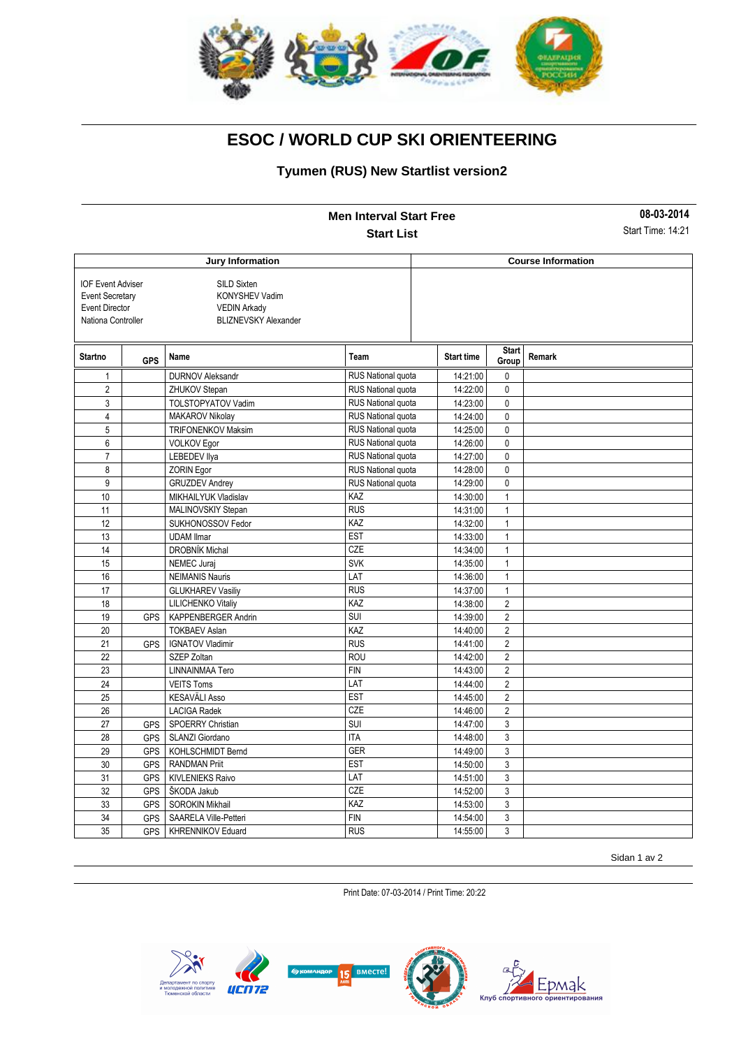

### **Tyumen (RUS) New Startlist version2**

|                                                                                                   |            |                                                                                            | <b>Men Interval Start Free</b> |                   |                       | 08-03-2014                |
|---------------------------------------------------------------------------------------------------|------------|--------------------------------------------------------------------------------------------|--------------------------------|-------------------|-----------------------|---------------------------|
|                                                                                                   |            |                                                                                            | <b>Start List</b>              |                   |                       | Start Time: 14:21         |
| <b>Jury Information</b>                                                                           |            |                                                                                            |                                |                   |                       | <b>Course Information</b> |
| <b>IOF Event Adviser</b><br><b>Event Secretary</b><br><b>Event Director</b><br>Nationa Controller |            | SILD Sixten<br><b>KONYSHEV Vadim</b><br><b>VEDIN Arkady</b><br><b>BLIZNEVSKY Alexander</b> |                                |                   |                       |                           |
| Startno                                                                                           | <b>GPS</b> | Name                                                                                       | Team                           | <b>Start time</b> | <b>Start</b><br>Group | Remark                    |
| $\mathbf{1}$                                                                                      |            | <b>DURNOV Aleksandr</b>                                                                    | <b>RUS National quota</b>      | 14:21:00          | $\mathbf 0$           |                           |
| $\overline{2}$                                                                                    |            | ZHUKOV Stepan                                                                              | RUS National quota             | 14:22:00          | 0                     |                           |
| 3                                                                                                 |            | TOLSTOPYATOV Vadim                                                                         | RUS National quota             | 14:23:00          | $\mathbf 0$           |                           |
| $\overline{4}$                                                                                    |            | MAKAROV Nikolay                                                                            | RUS National quota             | 14:24:00          | 0                     |                           |
| 5                                                                                                 |            | <b>TRIFONENKOV Maksim</b>                                                                  | RUS National quota             | 14:25:00          | $\mathbf 0$           |                           |
| 6                                                                                                 |            | VOLKOV Egor                                                                                | RUS National quota             | 14:26:00          | 0                     |                           |
| $\overline{7}$                                                                                    |            | <b>LEBEDEV Ilya</b>                                                                        | RUS National quota             | 14:27:00          | 0                     |                           |
| 8                                                                                                 |            | <b>ZORIN Egor</b>                                                                          | RUS National quota             | 14:28:00          | $\mathbf{0}$          |                           |
| 9                                                                                                 |            | <b>GRUZDEV Andrey</b>                                                                      | RUS National quota             | 14:29:00          | $\pmb{0}$             |                           |
| 10                                                                                                |            | MIKHAILYUK Vladislav                                                                       | KAZ                            | 14:30:00          | $\mathbf{1}$          |                           |
| 11                                                                                                |            | MALINOVSKIY Stepan                                                                         | <b>RUS</b>                     | 14:31:00          | $\mathbf{1}$          |                           |
| 12                                                                                                |            | SUKHONOSSOV Fedor                                                                          | KAZ                            | 14:32:00          | $\mathbf{1}$          |                           |
| 13                                                                                                |            | <b>UDAM Ilmar</b>                                                                          | <b>EST</b>                     | 14:33:00          | $\mathbf{1}$          |                           |
| 14                                                                                                |            | DROBNÍK Michal                                                                             | CZE                            | 14:34:00          | $\mathbf{1}$          |                           |
| 15                                                                                                |            | NEMEC Juraj                                                                                | <b>SVK</b>                     | 14:35:00          | $\mathbf{1}$          |                           |
| 16                                                                                                |            | <b>NEIMANIS Nauris</b>                                                                     | LAT                            | 14:36:00          | $\mathbf{1}$          |                           |
| 17                                                                                                |            | <b>GLUKHAREV Vasiliy</b>                                                                   | <b>RUS</b>                     | 14:37:00          | $\mathbf{1}$          |                           |
| 18                                                                                                |            | LILICHENKO Vitaliy                                                                         | KAZ                            | 14:38:00          | $\overline{2}$        |                           |
| 19                                                                                                | <b>GPS</b> | KAPPENBERGER Andrin                                                                        | <b>SUI</b>                     | 14:39:00          | $\overline{2}$        |                           |
| 20                                                                                                |            | <b>TOKBAEV Aslan</b>                                                                       | KAZ                            | 14:40:00          | $\overline{2}$        |                           |
| 21                                                                                                | <b>GPS</b> | <b>IGNATOV Vladimir</b>                                                                    | <b>RUS</b>                     | 14:41:00          | $\overline{2}$        |                           |
| 22                                                                                                |            | SZEP Zoltan                                                                                | <b>ROU</b>                     | 14:42:00          | $\overline{2}$        |                           |
| 23                                                                                                |            | LINNAINMAA Tero                                                                            | <b>FIN</b>                     | 14:43:00          | $\sqrt{2}$            |                           |
| 24                                                                                                |            | <b>VEITS Toms</b>                                                                          | LAT                            | 14:44:00          | $\overline{2}$        |                           |
| 25                                                                                                |            | <b>KESAVÄLI Asso</b>                                                                       | <b>EST</b>                     | 14:45:00          | $\overline{2}$        |                           |
| 26                                                                                                |            | <b>LACIGA Radek</b>                                                                        | <b>CZE</b>                     | 14:46:00          | $\overline{2}$        |                           |
| 27                                                                                                | <b>GPS</b> | SPOERRY Christian                                                                          | SUI                            | 14:47:00          | 3                     |                           |
| 28                                                                                                | <b>GPS</b> | SLANZI Giordano                                                                            | <b>ITA</b>                     | 14:48:00          | 3                     |                           |
| 29                                                                                                | <b>GPS</b> | KOHLSCHMIDT Bernd                                                                          | <b>GER</b>                     | 14:49:00          | 3                     |                           |
| 30                                                                                                | <b>GPS</b> | <b>RANDMAN Priit</b>                                                                       | <b>EST</b>                     | 14:50:00          | 3                     |                           |
| 31                                                                                                | <b>GPS</b> | <b>KIVLENIEKS Raivo</b>                                                                    | LAT                            | 14:51:00          | 3                     |                           |
| 32                                                                                                | <b>GPS</b> | ŠKODA Jakub                                                                                | <b>CZE</b>                     | 14:52:00          | 3                     |                           |
| 33                                                                                                | GPS        | SOROKIN Mikhail                                                                            | KAZ                            | 14:53:00          | 3                     |                           |
| 34                                                                                                | <b>GPS</b> | SAARELA Ville-Petteri                                                                      | <b>FIN</b>                     | 14:54:00          | 3                     |                           |
| 35                                                                                                | <b>GPS</b> | <b>KHRENNIKOV Eduard</b>                                                                   | <b>RUS</b>                     | 14:55:00          | 3                     |                           |

Sidan 1 av 2

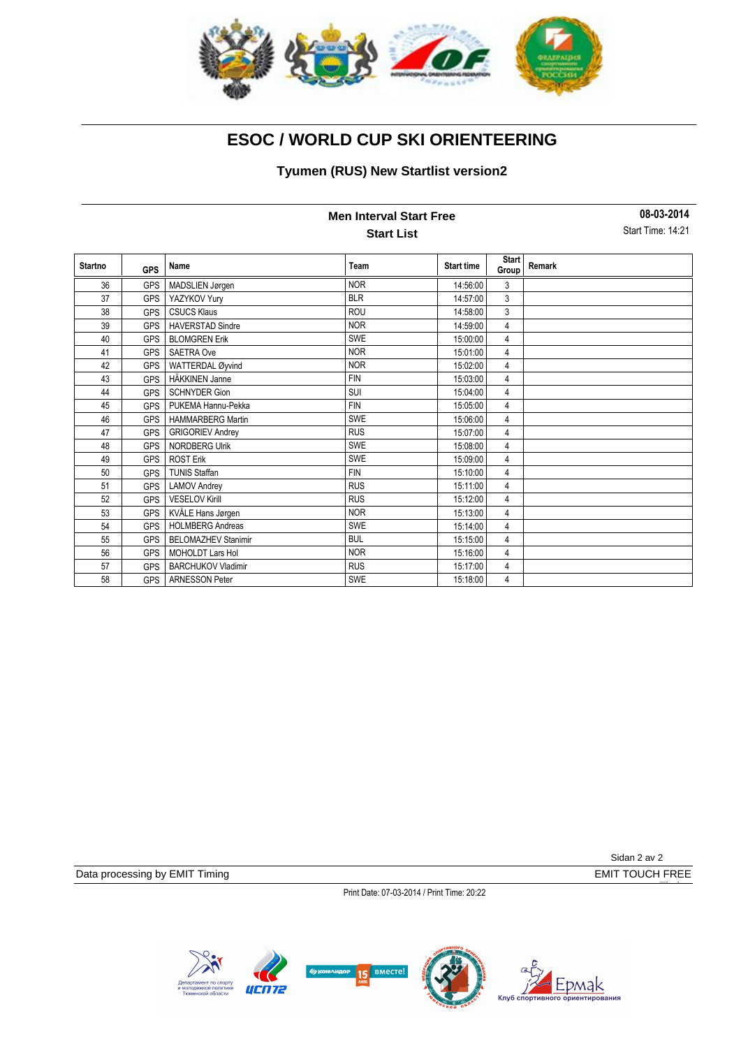

### **Tyumen (RUS) New Startlist version2**

| <b>Men Interval Start Free</b> |            |                            |            |                   |                       | 08-03-2014<br>Start Time: 14:21 |  |
|--------------------------------|------------|----------------------------|------------|-------------------|-----------------------|---------------------------------|--|
| <b>Start List</b>              |            |                            |            |                   |                       |                                 |  |
| <b>Startno</b>                 | <b>GPS</b> | Name                       | Team       | <b>Start time</b> | <b>Start</b><br>Group | Remark                          |  |
| 36                             | <b>GPS</b> | MADSLIEN Jørgen            | <b>NOR</b> | 14:56:00          | 3                     |                                 |  |
| 37                             | <b>GPS</b> | YAZYKOV Yury               | <b>BLR</b> | 14:57:00          | 3                     |                                 |  |
| 38                             | <b>GPS</b> | <b>CSUCS Klaus</b>         | ROU        | 14:58:00          | 3                     |                                 |  |
| 39                             | <b>GPS</b> | <b>HAVERSTAD Sindre</b>    | <b>NOR</b> | 14:59:00          | 4                     |                                 |  |
| 40                             | <b>GPS</b> | <b>BLOMGREN Erik</b>       | <b>SWE</b> | 15:00:00          | 4                     |                                 |  |
| 41                             | <b>GPS</b> | <b>SAETRA Ove</b>          | <b>NOR</b> | 15:01:00          | 4                     |                                 |  |
| 42                             | <b>GPS</b> | WATTERDAL Øyvind           | <b>NOR</b> | 15:02:00          | 4                     |                                 |  |
| 43                             | <b>GPS</b> | HÄKKINEN Janne             | <b>FIN</b> | 15:03:00          | 4                     |                                 |  |
| 44                             | <b>GPS</b> | <b>SCHNYDER Gion</b>       | SUI        | 15:04:00          | 4                     |                                 |  |
| 45                             | <b>GPS</b> | PUKEMA Hannu-Pekka         | <b>FIN</b> | 15:05:00          | 4                     |                                 |  |
| 46                             | <b>GPS</b> | <b>HAMMARBERG Martin</b>   | <b>SWE</b> | 15:06:00          | 4                     |                                 |  |
| 47                             | <b>GPS</b> | <b>GRIGORIEV Andrey</b>    | <b>RUS</b> | 15:07:00          | 4                     |                                 |  |
| 48                             | <b>GPS</b> | <b>NORDBERG Ulrik</b>      | <b>SWE</b> | 15:08:00          | 4                     |                                 |  |
| 49                             | <b>GPS</b> | <b>ROST Erik</b>           | <b>SWE</b> | 15:09:00          | 4                     |                                 |  |
| 50                             | <b>GPS</b> | <b>TUNIS Staffan</b>       | <b>FIN</b> | 15:10:00          | 4                     |                                 |  |
| 51                             | <b>GPS</b> | <b>LAMOV Andrey</b>        | <b>RUS</b> | 15:11:00          | 4                     |                                 |  |
| 52                             | <b>GPS</b> | <b>VESELOV Kirill</b>      | <b>RUS</b> | 15:12:00          | 4                     |                                 |  |
| 53                             | <b>GPS</b> | KVÅLE Hans Jørgen          | <b>NOR</b> | 15:13:00          | 4                     |                                 |  |
| 54                             | <b>GPS</b> | <b>HOLMBERG Andreas</b>    | <b>SWE</b> | 15:14:00          | 4                     |                                 |  |
| 55                             | <b>GPS</b> | <b>BELOMAZHEV Stanimir</b> | <b>BUL</b> | 15:15:00          | 4                     |                                 |  |
| 56                             | <b>GPS</b> | <b>MOHOLDT Lars Hol</b>    | <b>NOR</b> | 15:16:00          | 4                     |                                 |  |
| 57                             | <b>GPS</b> | <b>BARCHUKOV Vladimir</b>  | <b>RUS</b> | 15:17:00          | 4                     |                                 |  |
| 58                             | <b>GPS</b> | <b>ARNESSON Peter</b>      | <b>SWE</b> | 15:18:00          | 4                     |                                 |  |

Data processing by EMIT Timing **EMIT TOUCH FREE** 

Sidan 2 av 2

Timing

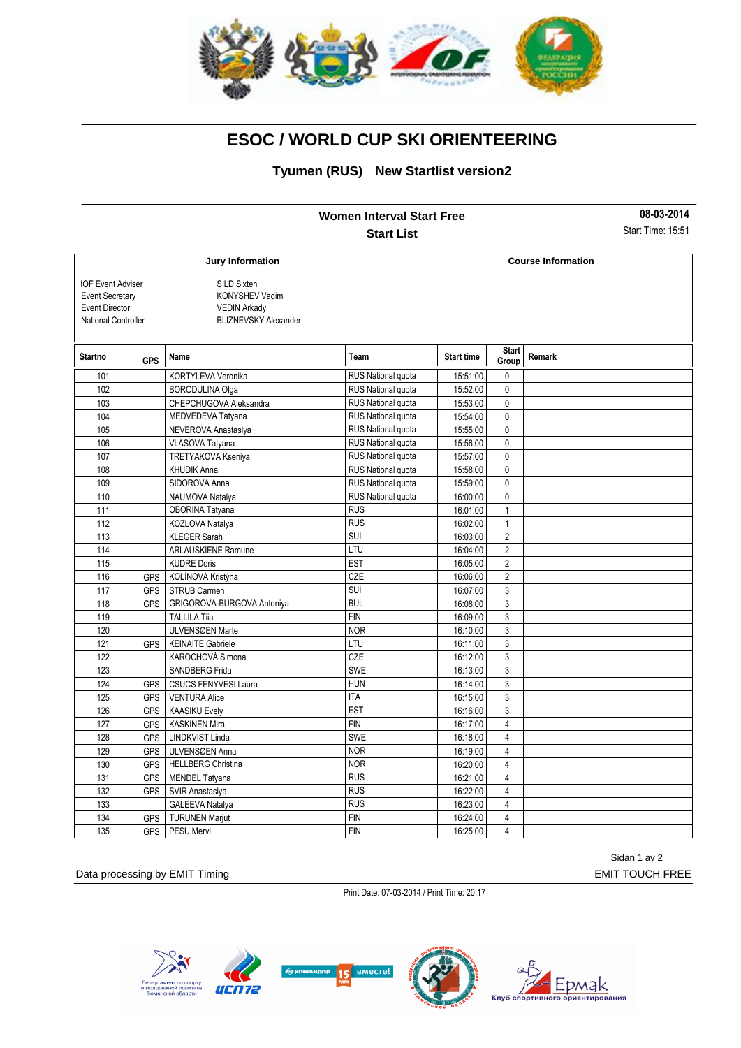

#### **Tyumen (RUS) New Startlist version2**

|                                                                                                           |                  |                                                                                                   | <b>Women Interval Start Free</b> |                           |                       | 08-03-2014        |  |
|-----------------------------------------------------------------------------------------------------------|------------------|---------------------------------------------------------------------------------------------------|----------------------------------|---------------------------|-----------------------|-------------------|--|
|                                                                                                           |                  |                                                                                                   | <b>Start List</b>                |                           |                       | Start Time: 15:51 |  |
|                                                                                                           |                  | Jury Information                                                                                  |                                  | <b>Course Information</b> |                       |                   |  |
| <b>IOF Event Adviser</b><br><b>Event Secretary</b><br><b>Event Director</b><br><b>National Controller</b> |                  | <b>SILD Sixten</b><br><b>KONYSHEV Vadim</b><br><b>VEDIN Arkady</b><br><b>BLIZNEVSKY Alexander</b> |                                  |                           |                       |                   |  |
| <b>Startno</b>                                                                                            | <b>GPS</b>       | Name                                                                                              | Team                             | <b>Start time</b>         | <b>Start</b><br>Group | Remark            |  |
| 101                                                                                                       |                  | KORTYLEVA Veronika                                                                                | RUS National quota               | 15:51:00                  | 0                     |                   |  |
| 102                                                                                                       |                  | <b>BORODULINA Olga</b>                                                                            | <b>RUS National quota</b>        | 15:52:00                  | $\mathbf{0}$          |                   |  |
| 103                                                                                                       |                  | CHEPCHUGOVA Aleksandra                                                                            | RUS National quota               | 15:53:00                  | 0                     |                   |  |
| 104                                                                                                       |                  | MEDVEDEVA Tatyana                                                                                 | RUS National quota               | 15:54:00                  | 0                     |                   |  |
| 105                                                                                                       |                  | NEVEROVA Anastasiya                                                                               | RUS National quota               | 15:55:00                  | 0                     |                   |  |
| 106                                                                                                       |                  | VLASOVA Tatyana                                                                                   | RUS National quota               | 15:56:00                  | 0                     |                   |  |
| 107                                                                                                       |                  | TRETYAKOVA Kseniya                                                                                | <b>RUS National quota</b>        | 15:57:00                  | 0                     |                   |  |
| 108                                                                                                       |                  | <b>KHUDIK Anna</b>                                                                                | RUS National quota               | 15:58:00                  | $\mathbf{0}$          |                   |  |
| 109                                                                                                       |                  | SIDOROVA Anna                                                                                     | <b>RUS National quota</b>        | 15:59:00                  | $\mathbf{0}$          |                   |  |
| 110                                                                                                       |                  | NAUMOVA Natalya                                                                                   | RUS National quota               | 16:00:00                  | 0                     |                   |  |
| 111                                                                                                       |                  | OBORINA Tatyana                                                                                   | <b>RUS</b>                       | 16:01:00                  | $\mathbf{1}$          |                   |  |
| 112                                                                                                       |                  | KOZLOVA Natalya                                                                                   | <b>RUS</b>                       | 16:02:00                  | $\mathbf{1}$          |                   |  |
| 113                                                                                                       |                  | <b>KLEGER Sarah</b>                                                                               | SUI                              | 16:03:00                  | $\overline{2}$        |                   |  |
| 114                                                                                                       |                  | <b>ARLAUSKIENE Ramune</b>                                                                         | LTU                              | 16:04:00                  | $\overline{2}$        |                   |  |
| 115                                                                                                       |                  | <b>KUDRE Doris</b>                                                                                | <b>EST</b>                       | 16:05:00                  | $\overline{2}$        |                   |  |
| 116                                                                                                       | <b>GPS</b>       | KOLÍNOVÁ Kristýna                                                                                 | CZE                              | 16:06:00                  | $\overline{2}$        |                   |  |
| 117                                                                                                       | <b>GPS</b>       | <b>STRUB Carmen</b>                                                                               | <b>SUI</b>                       | 16:07:00                  | 3                     |                   |  |
| 118                                                                                                       | <b>GPS</b>       | GRIGOROVA-BURGOVA Antoniya                                                                        | <b>BUL</b>                       | 16:08:00                  | 3                     |                   |  |
| 119                                                                                                       |                  | <b>TALLILA Tiia</b>                                                                               | <b>FIN</b>                       | 16:09:00                  | 3                     |                   |  |
| 120                                                                                                       |                  | ULVENSØEN Marte                                                                                   | <b>NOR</b>                       | 16:10:00                  | 3                     |                   |  |
| 121                                                                                                       | <b>GPS</b>       | <b>KEINAITE Gabriele</b>                                                                          | LTU                              | 16:11:00                  | 3                     |                   |  |
| 122                                                                                                       |                  | KAROCHOVÁ Simona                                                                                  | CZE                              | 16:12:00                  | 3                     |                   |  |
| 123                                                                                                       |                  | <b>SANDBERG Frida</b>                                                                             | SWE                              | 16:13:00                  | 3                     |                   |  |
| 124                                                                                                       | <b>GPS</b>       | <b>CSUCS FENYVESI Laura</b>                                                                       | <b>HUN</b>                       | 16:14:00                  | 3                     |                   |  |
| 125                                                                                                       | GPS              | <b>VENTURA Alice</b>                                                                              | <b>ITA</b>                       | 16:15:00                  | 3                     |                   |  |
| 126                                                                                                       | <b>GPS</b>       | <b>KAASIKU Evely</b>                                                                              | <b>EST</b>                       | 16:16:00                  | 3                     |                   |  |
| 127                                                                                                       | <b>GPS</b>       | <b>KASKINEN Mira</b>                                                                              | <b>FIN</b>                       | 16:17:00                  | $\overline{4}$        |                   |  |
| 128                                                                                                       | <b>GPS</b>       | LINDKVIST Linda                                                                                   | <b>SWE</b>                       | 16:18:00                  | $\overline{4}$        |                   |  |
| 129                                                                                                       | <b>GPS</b>       | ULVENSØEN Anna                                                                                    | <b>NOR</b>                       | 16:19:00                  | 4                     |                   |  |
| 130                                                                                                       | <b>GPS</b>       | <b>HELLBERG Christina</b>                                                                         | <b>NOR</b>                       | 16:20:00                  | $\overline{4}$        |                   |  |
| 131                                                                                                       | <b>GPS</b>       | <b>MENDEL Tatyana</b>                                                                             | <b>RUS</b>                       | 16:21:00                  | 4                     |                   |  |
| 132                                                                                                       | <b>GPS</b>       | SVIR Anastasiya                                                                                   | <b>RUS</b>                       | 16:22:00                  | $\overline{4}$        |                   |  |
| 133                                                                                                       |                  | GALEEVA Natalya                                                                                   | <b>RUS</b>                       | 16:23:00                  | $\overline{4}$        |                   |  |
| 134                                                                                                       | <b>GPS</b>       | <b>TURUNEN Marjut</b>                                                                             | <b>FIN</b>                       | 16:24:00                  | $\overline{4}$        |                   |  |
| 135                                                                                                       | GPS <sup>I</sup> | PESU Mervi                                                                                        | <b>FIN</b>                       | 16:25:00                  | 4                     |                   |  |

Sidan 1 av 2

Timing

Data processing by EMIT Timing **EMIT TOUCH FREE**